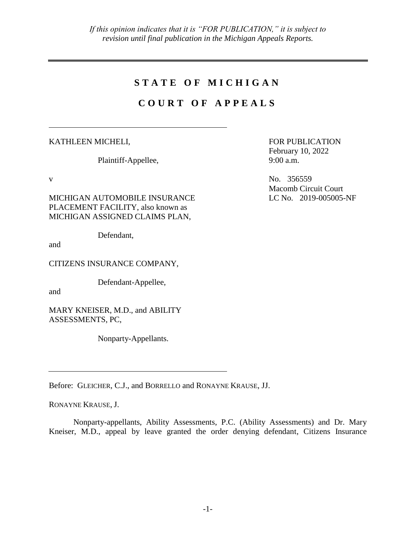# **S T A T E O F M I C H I G A N**

## **C O U R T O F A P P E A L S**

KATHLEEN MICHELI,

Plaintiff-Appellee,

MICHIGAN AUTOMOBILE INSURANCE PLACEMENT FACILITY, also known as MICHIGAN ASSIGNED CLAIMS PLAN,

Defendant,

and

CITIZENS INSURANCE COMPANY,

Defendant-Appellee,

and

MARY KNEISER, M.D., and ABILITY ASSESSMENTS, PC,

Nonparty-Appellants.

FOR PUBLICATION February 10, 2022 9:00 a.m.

v No. 356559 Macomb Circuit Court LC No. 2019-005005-NF

Before: GLEICHER, C.J., and BORRELLO and RONAYNE KRAUSE, JJ.

RONAYNE KRAUSE, J.

Nonparty-appellants, Ability Assessments, P.C. (Ability Assessments) and Dr. Mary Kneiser, M.D., appeal by leave granted the order denying defendant, Citizens Insurance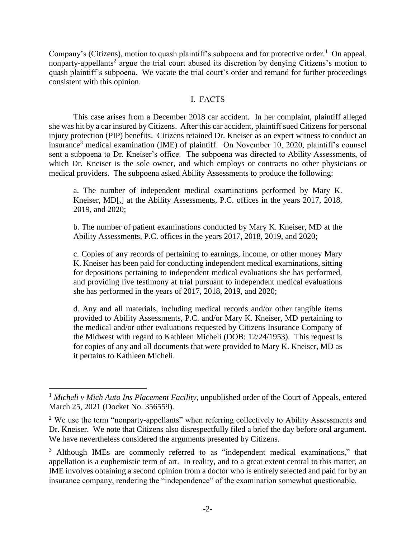Company's (Citizens), motion to quash plaintiff's subpoena and for protective order.<sup>1</sup> On appeal, nonparty-appellants<sup>2</sup> argue the trial court abused its discretion by denying Citizens's motion to quash plaintiff's subpoena. We vacate the trial court's order and remand for further proceedings consistent with this opinion.

### I. FACTS

This case arises from a December 2018 car accident. In her complaint, plaintiff alleged she was hit by a car insured by Citizens. After this car accident, plaintiff sued Citizens for personal injury protection (PIP) benefits. Citizens retained Dr. Kneiser as an expert witness to conduct an insurance<sup>3</sup> medical examination (IME) of plaintiff. On November 10, 2020, plaintiff's counsel sent a subpoena to Dr. Kneiser's office. The subpoena was directed to Ability Assessments, of which Dr. Kneiser is the sole owner, and which employs or contracts no other physicians or medical providers. The subpoena asked Ability Assessments to produce the following:

a. The number of independent medical examinations performed by Mary K. Kneiser, MD[,] at the Ability Assessments, P.C. offices in the years 2017, 2018, 2019, and 2020;

b. The number of patient examinations conducted by Mary K. Kneiser, MD at the Ability Assessments, P.C. offices in the years 2017, 2018, 2019, and 2020;

c. Copies of any records of pertaining to earnings, income, or other money Mary K. Kneiser has been paid for conducting independent medical examinations, sitting for depositions pertaining to independent medical evaluations she has performed, and providing live testimony at trial pursuant to independent medical evaluations she has performed in the years of 2017, 2018, 2019, and 2020;

d. Any and all materials, including medical records and/or other tangible items provided to Ability Assessments, P.C. and/or Mary K. Kneiser, MD pertaining to the medical and/or other evaluations requested by Citizens Insurance Company of the Midwest with regard to Kathleen Micheli (DOB: 12/24/1953). This request is for copies of any and all documents that were provided to Mary K. Kneiser, MD as it pertains to Kathleen Micheli.

 $\overline{a}$ 

<sup>1</sup> *Micheli v Mich Auto Ins Placement Facility*, unpublished order of the Court of Appeals, entered March 25, 2021 (Docket No. 356559).

<sup>&</sup>lt;sup>2</sup> We use the term "nonparty-appellants" when referring collectively to Ability Assessments and Dr. Kneiser. We note that Citizens also disrespectfully filed a brief the day before oral argument. We have nevertheless considered the arguments presented by Citizens.

<sup>&</sup>lt;sup>3</sup> Although IMEs are commonly referred to as "independent medical examinations," that appellation is a euphemistic term of art. In reality, and to a great extent central to this matter, an IME involves obtaining a second opinion from a doctor who is entirely selected and paid for by an insurance company, rendering the "independence" of the examination somewhat questionable.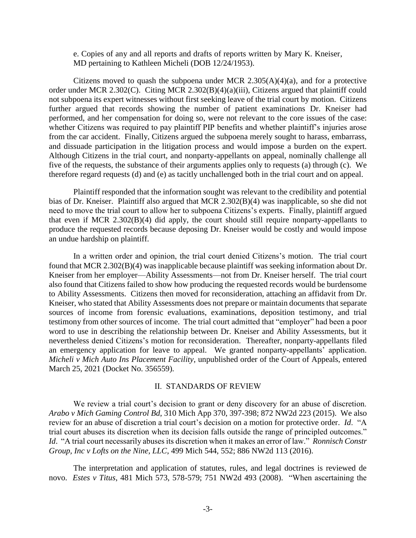e. Copies of any and all reports and drafts of reports written by Mary K. Kneiser, MD pertaining to Kathleen Micheli (DOB 12/24/1953).

Citizens moved to quash the subpoena under MCR  $2.305(A)(4)(a)$ , and for a protective order under MCR 2.302(C). Citing MCR 2.302(B)(4)(a)(iii), Citizens argued that plaintiff could not subpoena its expert witnesses without first seeking leave of the trial court by motion. Citizens further argued that records showing the number of patient examinations Dr. Kneiser had performed, and her compensation for doing so, were not relevant to the core issues of the case: whether Citizens was required to pay plaintiff PIP benefits and whether plaintiff's injuries arose from the car accident. Finally, Citizens argued the subpoena merely sought to harass, embarrass, and dissuade participation in the litigation process and would impose a burden on the expert. Although Citizens in the trial court, and nonparty-appellants on appeal, nominally challenge all five of the requests, the substance of their arguments applies only to requests (a) through (c). We therefore regard requests (d) and (e) as tacitly unchallenged both in the trial court and on appeal.

Plaintiff responded that the information sought was relevant to the credibility and potential bias of Dr. Kneiser. Plaintiff also argued that MCR 2.302(B)(4) was inapplicable, so she did not need to move the trial court to allow her to subpoena Citizens's experts. Finally, plaintiff argued that even if MCR 2.302(B)(4) did apply, the court should still require nonparty-appellants to produce the requested records because deposing Dr. Kneiser would be costly and would impose an undue hardship on plaintiff.

In a written order and opinion, the trial court denied Citizens's motion. The trial court found that MCR 2.302(B)(4) was inapplicable because plaintiff was seeking information about Dr. Kneiser from her employer—Ability Assessments—not from Dr. Kneiser herself. The trial court also found that Citizens failed to show how producing the requested records would be burdensome to Ability Assessments. Citizens then moved for reconsideration, attaching an affidavit from Dr. Kneiser, who stated that Ability Assessments does not prepare or maintain documents that separate sources of income from forensic evaluations, examinations, deposition testimony, and trial testimony from other sources of income. The trial court admitted that "employer" had been a poor word to use in describing the relationship between Dr. Kneiser and Ability Assessments, but it nevertheless denied Citizens's motion for reconsideration. Thereafter, nonparty-appellants filed an emergency application for leave to appeal. We granted nonparty-appellants' application. *Micheli v Mich Auto Ins Placement Facility*, unpublished order of the Court of Appeals, entered March 25, 2021 (Docket No. 356559).

#### II. STANDARDS OF REVIEW

We review a trial court's decision to grant or deny discovery for an abuse of discretion. *Arabo v Mich Gaming Control Bd*, 310 Mich App 370, 397-398; 872 NW2d 223 (2015). We also review for an abuse of discretion a trial court's decision on a motion for protective order. *Id*. "A trial court abuses its discretion when its decision falls outside the range of principled outcomes." *Id*. "A trial court necessarily abuses its discretion when it makes an error of law." *Ronnisch Constr Group, Inc v Lofts on the Nine, LLC*, 499 Mich 544, 552; 886 NW2d 113 (2016).

The interpretation and application of statutes, rules, and legal doctrines is reviewed de novo. *Estes v Titus*, 481 Mich 573, 578-579; 751 NW2d 493 (2008). "When ascertaining the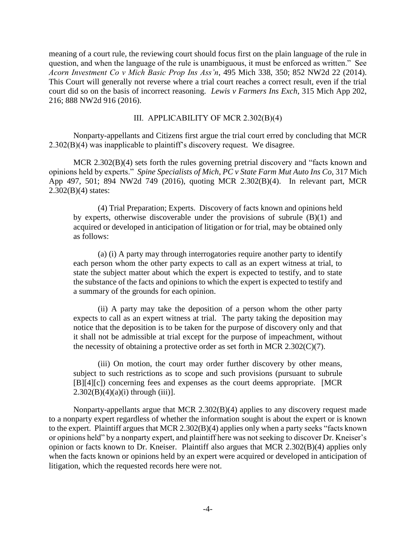meaning of a court rule, the reviewing court should focus first on the plain language of the rule in question, and when the language of the rule is unambiguous, it must be enforced as written." See *Acorn Investment Co v Mich Basic Prop Ins Ass'n*, 495 Mich 338, 350; 852 NW2d 22 (2014). This Court will generally not reverse where a trial court reaches a correct result, even if the trial court did so on the basis of incorrect reasoning. *Lewis v Farmers Ins Exch*, 315 Mich App 202, 216; 888 NW2d 916 (2016).

## III. APPLICABILITY OF MCR 2.302(B)(4)

Nonparty-appellants and Citizens first argue the trial court erred by concluding that MCR 2.302(B)(4) was inapplicable to plaintiff's discovery request. We disagree.

MCR 2.302(B)(4) sets forth the rules governing pretrial discovery and "facts known and opinions held by experts." *Spine Specialists of Mich, PC v State Farm Mut Auto Ins Co*, 317 Mich App 497, 501; 894 NW2d 749 (2016), quoting MCR 2.302(B)(4). In relevant part, MCR 2.302(B)(4) states:

(4) Trial Preparation; Experts. Discovery of facts known and opinions held by experts, otherwise discoverable under the provisions of subrule (B)(1) and acquired or developed in anticipation of litigation or for trial, may be obtained only as follows:

(a) (i) A party may through interrogatories require another party to identify each person whom the other party expects to call as an expert witness at trial, to state the subject matter about which the expert is expected to testify, and to state the substance of the facts and opinions to which the expert is expected to testify and a summary of the grounds for each opinion.

(ii) A party may take the deposition of a person whom the other party expects to call as an expert witness at trial. The party taking the deposition may notice that the deposition is to be taken for the purpose of discovery only and that it shall not be admissible at trial except for the purpose of impeachment, without the necessity of obtaining a protective order as set forth in MCR  $2.302(C)(7)$ .

(iii) On motion, the court may order further discovery by other means, subject to such restrictions as to scope and such provisions (pursuant to subrule [B][4][c]) concerning fees and expenses as the court deems appropriate. [MCR  $2.302(B)(4)(a)(i)$  through (iii)].

Nonparty-appellants argue that MCR 2.302(B)(4) applies to any discovery request made to a nonparty expert regardless of whether the information sought is about the expert or is known to the expert. Plaintiff argues that MCR 2.302(B)(4) applies only when a party seeks "facts known or opinions held" by a nonparty expert, and plaintiff here was not seeking to discover Dr. Kneiser's opinion or facts known to Dr. Kneiser. Plaintiff also argues that MCR 2.302(B)(4) applies only when the facts known or opinions held by an expert were acquired or developed in anticipation of litigation, which the requested records here were not.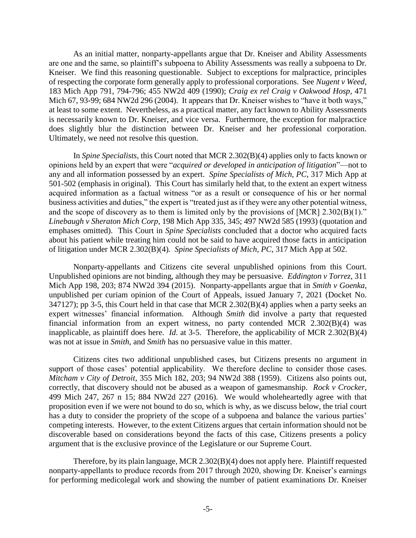As an initial matter, nonparty-appellants argue that Dr. Kneiser and Ability Assessments are one and the same, so plaintiff's subpoena to Ability Assessments was really a subpoena to Dr. Kneiser. We find this reasoning questionable. Subject to exceptions for malpractice, principles of respecting the corporate form generally apply to professional corporations. See *Nugent v Weed*, 183 Mich App 791, 794-796; 455 NW2d 409 (1990); *Craig ex rel Craig v Oakwood Hosp*, 471 Mich 67, 93-99; 684 NW2d 296 (2004). It appears that Dr. Kneiser wishes to "have it both ways," at least to some extent. Nevertheless, as a practical matter, any fact known to Ability Assessments is necessarily known to Dr. Kneiser, and vice versa. Furthermore, the exception for malpractice does slightly blur the distinction between Dr. Kneiser and her professional corporation. Ultimately, we need not resolve this question.

In *Spine Specialists*, this Court noted that MCR 2.302(B)(4) applies only to facts known or opinions held by an expert that were "*acquired or developed in anticipation of litigation*"—not to any and all information possessed by an expert. *Spine Specialists of Mich, PC*, 317 Mich App at 501-502 (emphasis in original). This Court has similarly held that, to the extent an expert witness acquired information as a factual witness "or as a result or consequence of his or her normal business activities and duties," the expert is "treated just as if they were any other potential witness, and the scope of discovery as to them is limited only by the provisions of [MCR] 2.302(B)(1)." *Linebaugh v Sheraton Mich Corp*, 198 Mich App 335, 345; 497 NW2d 585 (1993) (quotation and emphases omitted). This Court in *Spine Specialists* concluded that a doctor who acquired facts about his patient while treating him could not be said to have acquired those facts in anticipation of litigation under MCR 2.302(B)(4). *Spine Specialists of Mich, PC*, 317 Mich App at 502.

Nonparty-appellants and Citizens cite several unpublished opinions from this Court. Unpublished opinions are not binding, although they may be persuasive. *Eddington v Torrez*, 311 Mich App 198, 203; 874 NW2d 394 (2015). Nonparty-appellants argue that in *Smith v Goenka*, unpublished per curiam opinion of the Court of Appeals, issued January 7, 2021 (Docket No. 347127); pp 3-5, this Court held in that case that MCR 2.302(B)(4) applies when a party seeks an expert witnesses' financial information. Although *Smith* did involve a party that requested financial information from an expert witness, no party contended MCR 2.302(B)(4) was inapplicable, as plaintiff does here. *Id*. at 3-5. Therefore, the applicability of MCR 2.302(B)(4) was not at issue in *Smith*, and *Smith* has no persuasive value in this matter.

Citizens cites two additional unpublished cases, but Citizens presents no argument in support of those cases' potential applicability. We therefore decline to consider those cases. *Mitcham v City of Detroit*, 355 Mich 182, 203; 94 NW2d 388 (1959). Citizens also points out, correctly, that discovery should not be abused as a weapon of gamesmanship. *Rock v Crocker*, 499 Mich 247, 267 n 15; 884 NW2d 227 (2016). We would wholeheartedly agree with that proposition even if we were not bound to do so, which is why, as we discuss below, the trial court has a duty to consider the propriety of the scope of a subpoena and balance the various parties' competing interests. However, to the extent Citizens argues that certain information should not be discoverable based on considerations beyond the facts of this case, Citizens presents a policy argument that is the exclusive province of the Legislature or our Supreme Court.

Therefore, by its plain language, MCR  $2.302(B)(4)$  does not apply here. Plaintiff requested nonparty-appellants to produce records from 2017 through 2020, showing Dr. Kneiser's earnings for performing medicolegal work and showing the number of patient examinations Dr. Kneiser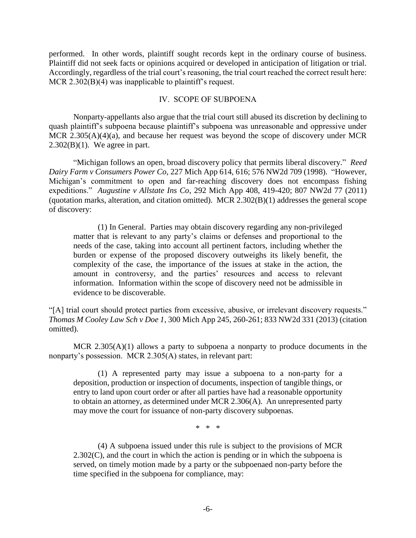performed. In other words, plaintiff sought records kept in the ordinary course of business. Plaintiff did not seek facts or opinions acquired or developed in anticipation of litigation or trial. Accordingly, regardless of the trial court's reasoning, the trial court reached the correct result here: MCR 2.302(B)(4) was inapplicable to plaintiff's request.

#### IV. SCOPE OF SUBPOENA

Nonparty-appellants also argue that the trial court still abused its discretion by declining to quash plaintiff's subpoena because plaintiff's subpoena was unreasonable and oppressive under MCR 2.305(A)(4)(a), and because her request was beyond the scope of discovery under MCR  $2.302(B)(1)$ . We agree in part.

"Michigan follows an open, broad discovery policy that permits liberal discovery." *Reed Dairy Farm v Consumers Power Co*, 227 Mich App 614, 616; 576 NW2d 709 (1998). "However, Michigan's commitment to open and far-reaching discovery does not encompass fishing expeditions." *Augustine v Allstate Ins Co*, 292 Mich App 408, 419-420; 807 NW2d 77 (2011) (quotation marks, alteration, and citation omitted). MCR 2.302(B)(1) addresses the general scope of discovery:

(1) In General. Parties may obtain discovery regarding any non-privileged matter that is relevant to any party's claims or defenses and proportional to the needs of the case, taking into account all pertinent factors, including whether the burden or expense of the proposed discovery outweighs its likely benefit, the complexity of the case, the importance of the issues at stake in the action, the amount in controversy, and the parties' resources and access to relevant information. Information within the scope of discovery need not be admissible in evidence to be discoverable.

"[A] trial court should protect parties from excessive, abusive, or irrelevant discovery requests." *Thomas M Cooley Law Sch v Doe 1*, 300 Mich App 245, 260-261; 833 NW2d 331 (2013) (citation omitted).

MCR 2.305(A)(1) allows a party to subpoena a nonparty to produce documents in the nonparty's possession. MCR 2.305(A) states, in relevant part:

(1) A represented party may issue a subpoena to a non-party for a deposition, production or inspection of documents, inspection of tangible things, or entry to land upon court order or after all parties have had a reasonable opportunity to obtain an attorney, as determined under MCR 2.306(A). An unrepresented party may move the court for issuance of non-party discovery subpoenas.

\* \* \*

(4) A subpoena issued under this rule is subject to the provisions of MCR  $2.302(C)$ , and the court in which the action is pending or in which the subpoena is served, on timely motion made by a party or the subpoenaed non-party before the time specified in the subpoena for compliance, may: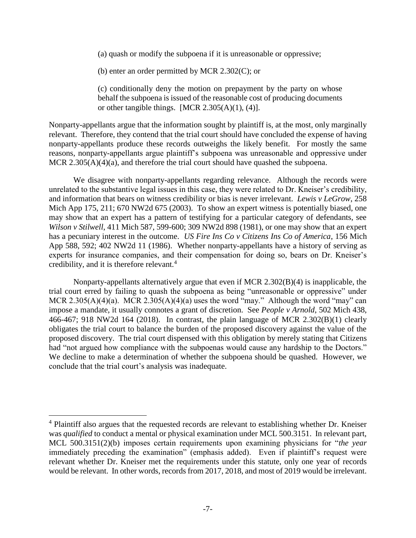(a) quash or modify the subpoena if it is unreasonable or oppressive;

(b) enter an order permitted by MCR 2.302(C); or

(c) conditionally deny the motion on prepayment by the party on whose behalf the subpoena is issued of the reasonable cost of producing documents or other tangible things. [MCR  $2.305(A)(1)$ , (4)].

Nonparty-appellants argue that the information sought by plaintiff is, at the most, only marginally relevant. Therefore, they contend that the trial court should have concluded the expense of having nonparty-appellants produce these records outweighs the likely benefit. For mostly the same reasons, nonparty-appellants argue plaintiff's subpoena was unreasonable and oppressive under MCR 2.305(A)(4)(a), and therefore the trial court should have quashed the subpoena.

We disagree with nonparty-appellants regarding relevance. Although the records were unrelated to the substantive legal issues in this case, they were related to Dr. Kneiser's credibility, and information that bears on witness credibility or bias is never irrelevant. *Lewis v LeGrow*, 258 Mich App 175, 211; 670 NW2d 675 (2003). To show an expert witness is potentially biased, one may show that an expert has a pattern of testifying for a particular category of defendants, see *Wilson v Stilwell*, 411 Mich 587, 599-600; 309 NW2d 898 (1981), or one may show that an expert has a pecuniary interest in the outcome. *US Fire Ins Co v Citizens Ins Co of America*, 156 Mich App 588, 592; 402 NW2d 11 (1986). Whether nonparty-appellants have a history of serving as experts for insurance companies, and their compensation for doing so, bears on Dr. Kneiser's credibility, and it is therefore relevant.<sup>4</sup>

Nonparty-appellants alternatively argue that even if MCR 2.302(B)(4) is inapplicable, the trial court erred by failing to quash the subpoena as being "unreasonable or oppressive" under MCR  $2.305(A)(4)(a)$ . MCR  $2.305(A)(4)(a)$  uses the word "may." Although the word "may" can impose a mandate, it usually connotes a grant of discretion. See *People v Arnold*, 502 Mich 438, 466-467; 918 NW2d 164 (2018). In contrast, the plain language of MCR 2.302(B)(1) clearly obligates the trial court to balance the burden of the proposed discovery against the value of the proposed discovery. The trial court dispensed with this obligation by merely stating that Citizens had "not argued how compliance with the subpoenas would cause any hardship to the Doctors." We decline to make a determination of whether the subpoena should be quashed. However, we conclude that the trial court's analysis was inadequate.

 $\overline{a}$ 

<sup>&</sup>lt;sup>4</sup> Plaintiff also argues that the requested records are relevant to establishing whether Dr. Kneiser was *qualified* to conduct a mental or physical examination under MCL 500.3151. In relevant part, MCL 500.3151(2)(b) imposes certain requirements upon examining physicians for "*the year* immediately preceding the examination" (emphasis added). Even if plaintiff's request were relevant whether Dr. Kneiser met the requirements under this statute, only one year of records would be relevant. In other words, records from 2017, 2018, and most of 2019 would be irrelevant.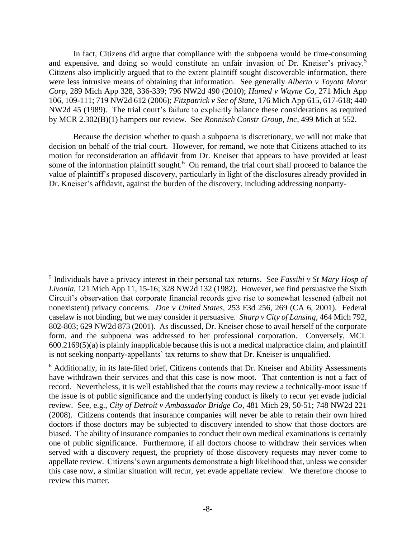In fact, Citizens did argue that compliance with the subpoena would be time-consuming and expensive, and doing so would constitute an unfair invasion of Dr. Kneiser's privacy.<sup>5</sup> Citizens also implicitly argued that to the extent plaintiff sought discoverable information, there were less intrusive means of obtaining that information. See generally *Alberto v Toyota Motor Corp*, 289 Mich App 328, 336-339; 796 NW2d 490 (2010); *Hamed v Wayne Co*, 271 Mich App 106, 109-111; 719 NW2d 612 (2006); *Fitzpatrick v Sec of State*, 176 Mich App 615, 617-618; 440 NW2d 45 (1989). The trial court's failure to explicitly balance these considerations as required by MCR 2.302(B)(1) hampers our review. See *Ronnisch Constr Group, Inc*, 499 Mich at 552.

Because the decision whether to quash a subpoena is discretionary, we will not make that decision on behalf of the trial court. However, for remand, we note that Citizens attached to its motion for reconsideration an affidavit from Dr. Kneiser that appears to have provided at least some of the information plaintiff sought.<sup>6</sup> On remand, the trial court shall proceed to balance the value of plaintiff's proposed discovery, particularly in light of the disclosures already provided in Dr. Kneiser's affidavit, against the burden of the discovery, including addressing nonparty-

 $\overline{a}$ 

<sup>5</sup> Individuals have a privacy interest in their personal tax returns. See *Fassihi v St Mary Hosp of Livonia*, 121 Mich App 11, 15-16; 328 NW2d 132 (1982). However, we find persuasive the Sixth Circuit's observation that corporate financial records give rise to somewhat lessened (albeit not nonexistent) privacy concerns. *Doe v United States*, 253 F3d 256, 269 (CA 6, 2001). Federal caselaw is not binding, but we may consider it persuasive. *Sharp v City of Lansing*, 464 Mich 792, 802-803; 629 NW2d 873 (2001). As discussed, Dr. Kneiser chose to avail herself of the corporate form, and the subpoena was addressed to her professional corporation. Conversely, MCL 600.2169(5)(a) is plainly inapplicable because this is not a medical malpractice claim, and plaintiff is not seeking nonparty-appellants' tax returns to show that Dr. Kneiser is unqualified.

<sup>&</sup>lt;sup>6</sup> Additionally, in its late-filed brief, Citizens contends that Dr. Kneiser and Ability Assessments have withdrawn their services and that this case is now moot. That contention is not a fact of record. Nevertheless, it is well established that the courts may review a technically-moot issue if the issue is of public significance and the underlying conduct is likely to recur yet evade judicial review. See, e.g., *City of Detroit v Ambassador Bridge Co*, 481 Mich 29, 50-51; 748 NW2d 221 (2008). Citizens contends that insurance companies will never be able to retain their own hired doctors if those doctors may be subjected to discovery intended to show that those doctors are biased. The ability of insurance companies to conduct their own medical examinations is certainly one of public significance. Furthermore, if all doctors choose to withdraw their services when served with a discovery request, the propriety of those discovery requests may never come to appellate review. Citizens's own arguments demonstrate a high likelihood that, unless we consider this case now, a similar situation will recur, yet evade appellate review. We therefore choose to review this matter.